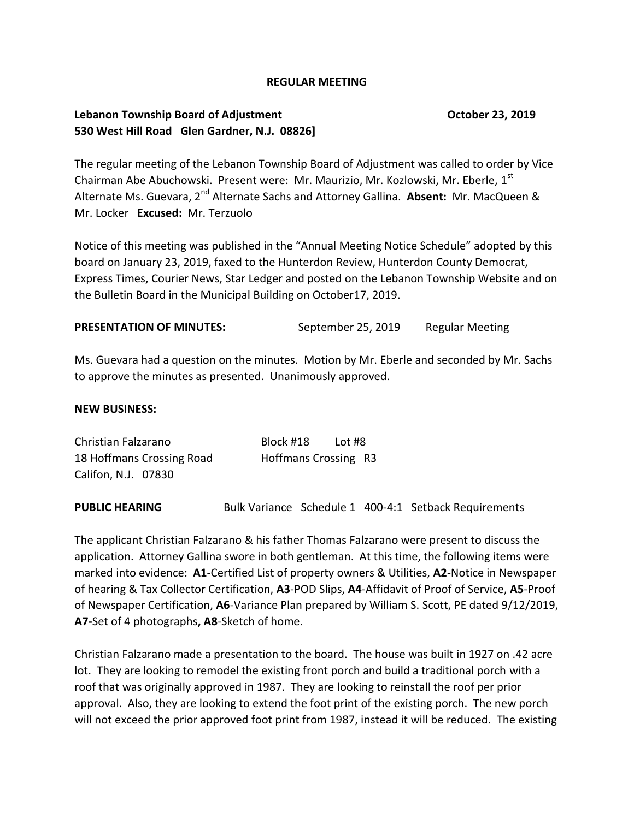### **REGULAR MEETING**

## **Lebanon Township Board of Adjustment Construction Construction Construction Construction Construction Construction Construction Construction Construction Construction Construction Construction Construction Construction 530 West Hill Road Glen Gardner, N.J. 08826]**

The regular meeting of the Lebanon Township Board of Adjustment was called to order by Vice Chairman Abe Abuchowski. Present were: Mr. Maurizio, Mr. Kozlowski, Mr. Eberle,  $1<sup>st</sup>$ Alternate Ms. Guevara, 2<sup>nd</sup> Alternate Sachs and Attorney Gallina. Absent: Mr. MacQueen & Mr. Locker **Excused:** Mr. Terzuolo

Notice of this meeting was published in the "Annual Meeting Notice Schedule" adopted by this board on January 23, 2019, faxed to the Hunterdon Review, Hunterdon County Democrat, Express Times, Courier News, Star Ledger and posted on the Lebanon Township Website and on the Bulletin Board in the Municipal Building on October17, 2019.

### **PRESENTATION OF MINUTES:** September 25, 2019 Regular Meeting

Ms. Guevara had a question on the minutes. Motion by Mr. Eberle and seconded by Mr. Sachs to approve the minutes as presented. Unanimously approved.

### **NEW BUSINESS:**

| Christian Falzarano       | Block #18<br>Lot #8  |
|---------------------------|----------------------|
| 18 Hoffmans Crossing Road | Hoffmans Crossing R3 |
| Califon, N.J. 07830       |                      |

**PUBLIC HEARING** Bulk Variance Schedule 1 400-4:1 Setback Requirements

The applicant Christian Falzarano & his father Thomas Falzarano were present to discuss the application. Attorney Gallina swore in both gentleman. At this time, the following items were marked into evidence: **A1**-Certified List of property owners & Utilities, **A2**-Notice in Newspaper of hearing & Tax Collector Certification, **A3**-POD Slips, **A4**-Affidavit of Proof of Service, **A5**-Proof of Newspaper Certification, **A6**-Variance Plan prepared by William S. Scott, PE dated 9/12/2019, **A7-**Set of 4 photographs**, A8**-Sketch of home.

Christian Falzarano made a presentation to the board. The house was built in 1927 on .42 acre lot. They are looking to remodel the existing front porch and build a traditional porch with a roof that was originally approved in 1987. They are looking to reinstall the roof per prior approval. Also, they are looking to extend the foot print of the existing porch. The new porch will not exceed the prior approved foot print from 1987, instead it will be reduced. The existing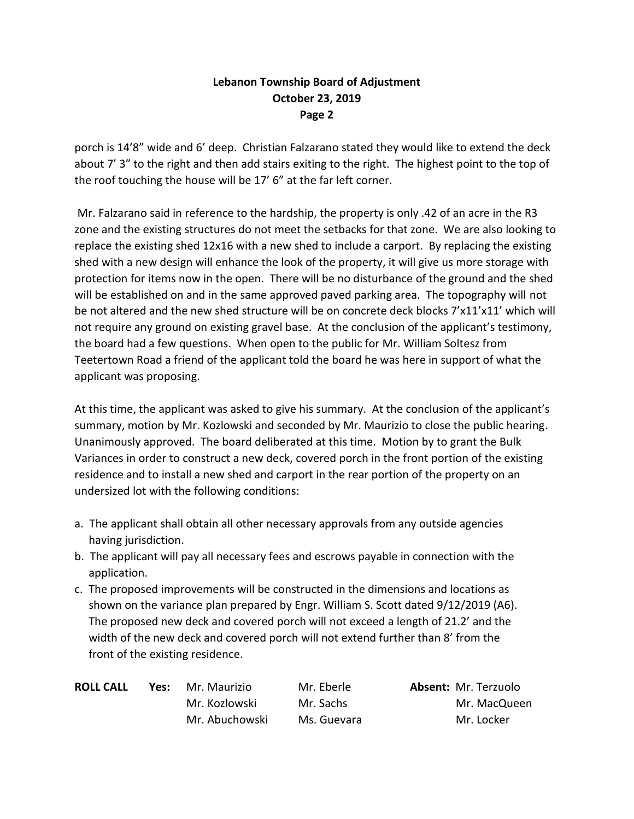# **Lebanon Township Board of Adjustment October 23, 2019 Page 2**

porch is 14'8" wide and 6' deep. Christian Falzarano stated they would like to extend the deck about 7' 3" to the right and then add stairs exiting to the right. The highest point to the top of the roof touching the house will be 17' 6" at the far left corner.

Mr. Falzarano said in reference to the hardship, the property is only .42 of an acre in the R3 zone and the existing structures do not meet the setbacks for that zone. We are also looking to replace the existing shed 12x16 with a new shed to include a carport. By replacing the existing shed with a new design will enhance the look of the property, it will give us more storage with protection for items now in the open. There will be no disturbance of the ground and the shed will be established on and in the same approved paved parking area. The topography will not be not altered and the new shed structure will be on concrete deck blocks 7'x11'x11' which will not require any ground on existing gravel base. At the conclusion of the applicant's testimony, the board had a few questions. When open to the public for Mr. William Soltesz from Teetertown Road a friend of the applicant told the board he was here in support of what the applicant was proposing.

At this time, the applicant was asked to give his summary. At the conclusion of the applicant's summary, motion by Mr. Kozlowski and seconded by Mr. Maurizio to close the public hearing. Unanimously approved. The board deliberated at this time. Motion by to grant the Bulk Variances in order to construct a new deck, covered porch in the front portion of the existing residence and to install a new shed and carport in the rear portion of the property on an undersized lot with the following conditions:

- a. The applicant shall obtain all other necessary approvals from any outside agencies having jurisdiction.
- b. The applicant will pay all necessary fees and escrows payable in connection with the application.
- c. The proposed improvements will be constructed in the dimensions and locations as shown on the variance plan prepared by Engr. William S. Scott dated 9/12/2019 (A6). The proposed new deck and covered porch will not exceed a length of 21.2' and the width of the new deck and covered porch will not extend further than 8' from the front of the existing residence.

| <b>ROLL CALL</b> | Yes: | Mr. Maurizio   | Mr. Eberle  | <b>Absent: Mr. Terzuolo</b> |
|------------------|------|----------------|-------------|-----------------------------|
|                  |      | Mr. Kozlowski  | Mr. Sachs   | Mr. MacQueen                |
|                  |      | Mr. Abuchowski | Ms. Guevara | Mr. Locker                  |